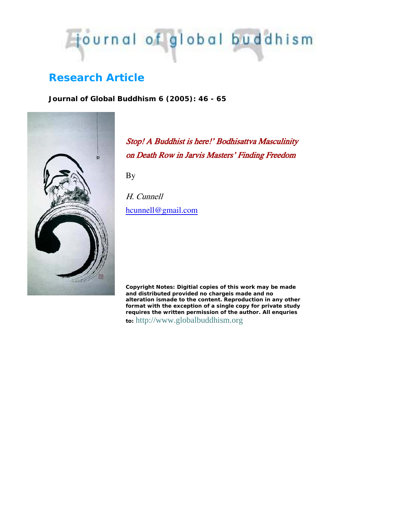# journal of global buddhism

### **Research Article**

*Journal of Global Buddhism 6 (2005): 46 - 65*



Stop! A Buddhist is here!' Bodhisattva Masculinity on Death Row in Jarvis Masters' Finding Freedom

By

H. Cunnell hcunnell@gmail.com

*Copyright Notes:* **Digitial copies of this work may be made and distributed provided no chargeis made and no alteration ismade to the content. Reproduction in any other format with the exception of a single copy for private study requires the written permission of the author. All enquries to:** http://www.globalbuddhism.org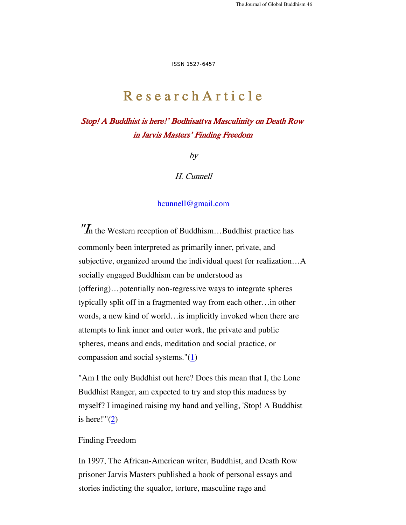The Journal of Global Buddhism 46

ISSN 1527-6457

## Research Article

Stop! A Buddhist is here!' Bodhisattva Masculinity on Death Row in Jarvis Masters' Finding Freedom

by

H. Cunnell

#### hcunnell@gmail.com

 $''\!I<sub>n</sub>$  the Western reception of Buddhism...Buddhist practice has commonly been interpreted as primarily inner, private, and subjective, organized around the individual quest for realization…A socially engaged Buddhism can be understood as (offering)…potentially non-regressive ways to integrate spheres typically split off in a fragmented way from each other…in other words, a new kind of world…is implicitly invoked when there are attempts to link inner and outer work, the private and public spheres, means and ends, meditation and social practice, or compassion and social systems."(1)

"Am I the only Buddhist out here? Does this mean that I, the Lone Buddhist Ranger, am expected to try and stop this madness by myself? I imagined raising my hand and yelling, 'Stop! A Buddhist is here!" $(2)$ 

#### Finding Freedom

In 1997, The African-American writer, Buddhist, and Death Row prisoner Jarvis Masters published a book of personal essays and stories indicting the squalor, torture, masculine rage and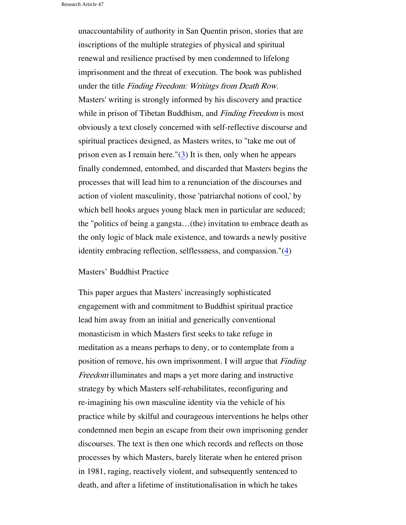unaccountability of authority in San Quentin prison, stories that are inscriptions of the multiple strategies of physical and spiritual renewal and resilience practised by men condemned to lifelong imprisonment and the threat of execution. The book was published under the title Finding Freedom: Writings from Death Row. Masters' writing is strongly informed by his discovery and practice while in prison of Tibetan Buddhism, and *Finding Freedom* is most obviously a text closely concerned with self-reflective discourse and spiritual practices designed, as Masters writes, to "take me out of prison even as I remain here." $(3)$  It is then, only when he appears finally condemned, entombed, and discarded that Masters begins the processes that will lead him to a renunciation of the discourses and action of violent masculinity, those 'patriarchal notions of cool,' by which bell hooks argues young black men in particular are seduced; the "politics of being a gangsta…(the) invitation to embrace death as the only logic of black male existence, and towards a newly positive identity embracing reflection, selflessness, and compassion."(4)

#### Masters' Buddhist Practice

This paper argues that Masters' increasingly sophisticated engagement with and commitment to Buddhist spiritual practice lead him away from an initial and generically conventional monasticism in which Masters first seeks to take refuge in meditation as a means perhaps to deny, or to contemplate from a position of remove, his own imprisonment. I will argue that Finding Freedom illuminates and maps a yet more daring and instructive strategy by which Masters self-rehabilitates, reconfiguring and re-imagining his own masculine identity via the vehicle of his practice while by skilful and courageous interventions he helps other condemned men begin an escape from their own imprisoning gender discourses. The text is then one which records and reflects on those processes by which Masters, barely literate when he entered prison in 1981, raging, reactively violent, and subsequently sentenced to death, and after a lifetime of institutionalisation in which he takes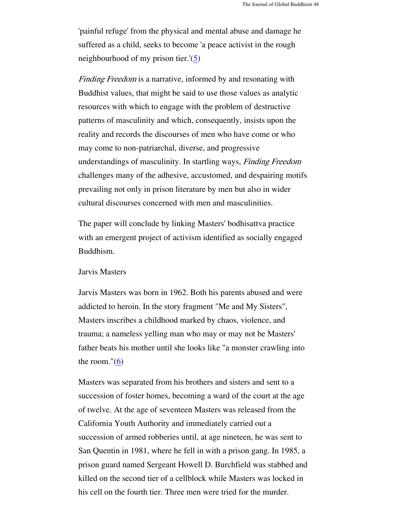'painful refuge' from the physical and mental abuse and damage he suffered as a child, seeks to become 'a peace activist in the rough neighbourhood of my prison tier.'(5)

Finding Freedom is a narrative, informed by and resonating with Buddhist values, that might be said to use those values as analytic resources with which to engage with the problem of destructive patterns of masculinity and which, consequently, insists upon the reality and records the discourses of men who have come or who may come to non-patriarchal, diverse, and progressive understandings of masculinity. In startling ways, *Finding Freedom* challenges many of the adhesive, accustomed, and despairing motifs prevailing not only in prison literature by men but also in wider cultural discourses concerned with men and masculinities.

The paper will conclude by linking Masters' bodhisattva practice with an emergent project of activism identified as socially engaged Buddhism.

#### Jarvis Masters

Jarvis Masters was born in 1962. Both his parents abused and were addicted to heroin. In the story fragment "Me and My Sisters", Masters inscribes a childhood marked by chaos, violence, and trauma; a nameless yelling man who may or may not be Masters' father beats his mother until she looks like "a monster crawling into the room." $(6)$ 

Masters was separated from his brothers and sisters and sent to a succession of foster homes, becoming a ward of the court at the age of twelve. At the age of seventeen Masters was released from the California Youth Authority and immediately carried out a succession of armed robberies until, at age nineteen, he was sent to San Quentin in 1981, where he fell in with a prison gang. In 1985, a prison guard named Sergeant Howell D. Burchfield was stabbed and killed on the second tier of a cellblock while Masters was locked in his cell on the fourth tier. Three men were tried for the murder.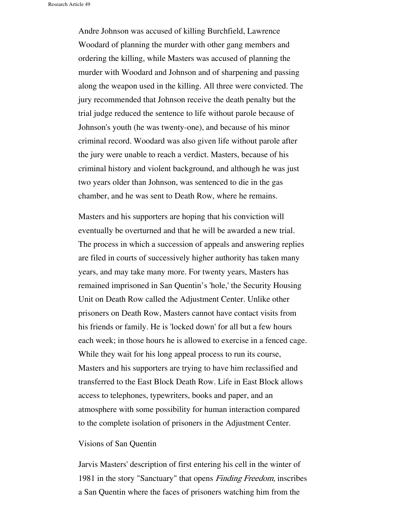Andre Johnson was accused of killing Burchfield, Lawrence Woodard of planning the murder with other gang members and ordering the killing, while Masters was accused of planning the murder with Woodard and Johnson and of sharpening and passing along the weapon used in the killing. All three were convicted. The jury recommended that Johnson receive the death penalty but the trial judge reduced the sentence to life without parole because of Johnson's youth (he was twenty-one), and because of his minor criminal record. Woodard was also given life without parole after the jury were unable to reach a verdict. Masters, because of his criminal history and violent background, and although he was just two years older than Johnson, was sentenced to die in the gas chamber, and he was sent to Death Row, where he remains.

Masters and his supporters are hoping that his conviction will eventually be overturned and that he will be awarded a new trial. The process in which a succession of appeals and answering replies are filed in courts of successively higher authority has taken many years, and may take many more. For twenty years, Masters has remained imprisoned in San Quentin's 'hole,' the Security Housing Unit on Death Row called the Adjustment Center. Unlike other prisoners on Death Row, Masters cannot have contact visits from his friends or family. He is 'locked down' for all but a few hours each week; in those hours he is allowed to exercise in a fenced cage. While they wait for his long appeal process to run its course, Masters and his supporters are trying to have him reclassified and transferred to the East Block Death Row. Life in East Block allows access to telephones, typewriters, books and paper, and an atmosphere with some possibility for human interaction compared to the complete isolation of prisoners in the Adjustment Center.

#### Visions of San Quentin

Jarvis Masters' description of first entering his cell in the winter of 1981 in the story "Sanctuary" that opens *Finding Freedom*, inscribes a San Quentin where the faces of prisoners watching him from the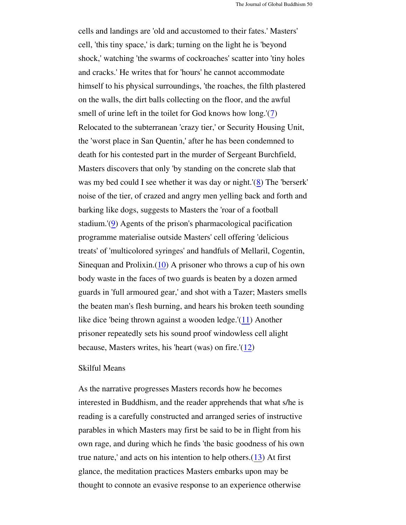cells and landings are 'old and accustomed to their fates.' Masters' cell, 'this tiny space,' is dark; turning on the light he is 'beyond shock,' watching 'the swarms of cockroaches' scatter into 'tiny holes and cracks.' He writes that for 'hours' he cannot accommodate himself to his physical surroundings, 'the roaches, the filth plastered on the walls, the dirt balls collecting on the floor, and the awful smell of urine left in the toilet for God knows how long.'(7) Relocated to the subterranean 'crazy tier,' or Security Housing Unit, the 'worst place in San Quentin,' after he has been condemned to death for his contested part in the murder of Sergeant Burchfield, Masters discovers that only 'by standing on the concrete slab that was my bed could I see whether it was day or night.'(8) The 'berserk' noise of the tier, of crazed and angry men yelling back and forth and barking like dogs, suggests to Masters the 'roar of a football stadium.'(9) Agents of the prison's pharmacological pacification programme materialise outside Masters' cell offering 'delicious treats' of 'multicolored syringes' and handfuls of Mellaril, Cogentin, Sinequan and Prolixin.(10) A prisoner who throws a cup of his own body waste in the faces of two guards is beaten by a dozen armed guards in 'full armoured gear,' and shot with a Tazer; Masters smells the beaten man's flesh burning, and hears his broken teeth sounding like dice 'being thrown against a wooden ledge.'(11) Another prisoner repeatedly sets his sound proof windowless cell alight because, Masters writes, his 'heart (was) on fire.'(12)

#### Skilful Means

As the narrative progresses Masters records how he becomes interested in Buddhism, and the reader apprehends that what s/he is reading is a carefully constructed and arranged series of instructive parables in which Masters may first be said to be in flight from his own rage, and during which he finds 'the basic goodness of his own true nature,' and acts on his intention to help others.(13) At first glance, the meditation practices Masters embarks upon may be thought to connote an evasive response to an experience otherwise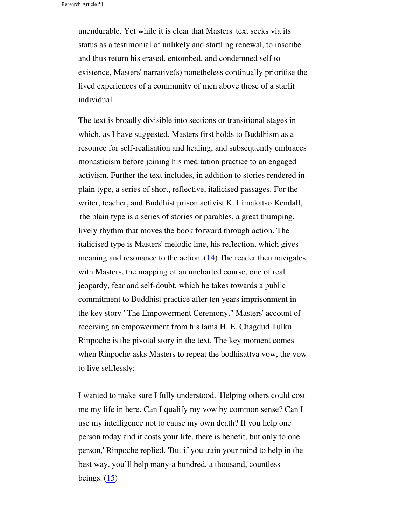unendurable. Yet while it is clear that Masters' text seeks via its status as a testimonial of unlikely and startling renewal, to inscribe and thus return his erased, entombed, and condemned self to existence, Masters' narrative(s) nonetheless continually prioritise the lived experiences of a community of men above those of a starlit individual.

The text is broadly divisible into sections or transitional stages in which, as I have suggested, Masters first holds to Buddhism as a resource for self-realisation and healing, and subsequently embraces monasticism before joining his meditation practice to an engaged activism. Further the text includes, in addition to stories rendered in plain type, a series of short, reflective, italicised passages. For the writer, teacher, and Buddhist prison activist K. Limakatso Kendall, 'the plain type is a series of stories or parables, a great thumping, lively rhythm that moves the book forward through action. The italicised type is Masters' melodic line, his reflection, which gives meaning and resonance to the action.' $(14)$  The reader then navigates, with Masters, the mapping of an uncharted course, one of real jeopardy, fear and self-doubt, which he takes towards a public commitment to Buddhist practice after ten years imprisonment in the key story "The Empowerment Ceremony." Masters' account of receiving an empowerment from his lama H. E. Chagdud Tulku Rinpoche is the pivotal story in the text. The key moment comes when Rinpoche asks Masters to repeat the bodhisattva vow, the vow to live selflessly:

I wanted to make sure I fully understood. 'Helping others could cost me my life in here. Can I qualify my vow by common sense? Can I use my intelligence not to cause my own death? If you help one person today and it costs your life, there is benefit, but only to one person,' Rinpoche replied. 'But if you train your mind to help in the best way, you'll help many-a hundred, a thousand, countless beings.' $(15)$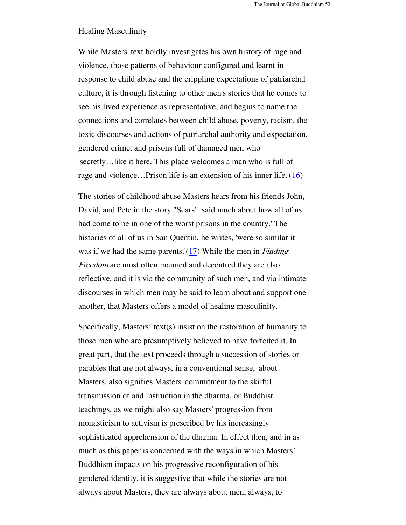#### Healing Masculinity

While Masters' text boldly investigates his own history of rage and violence, those patterns of behaviour configured and learnt in response to child abuse and the crippling expectations of patriarchal culture, it is through listening to other men's stories that he comes to see his lived experience as representative, and begins to name the connections and correlates between child abuse, poverty, racism, the toxic discourses and actions of patriarchal authority and expectation, gendered crime, and prisons full of damaged men who 'secretly…like it here. This place welcomes a man who is full of rage and violence…Prison life is an extension of his inner life.'(16)

The stories of childhood abuse Masters hears from his friends John, David, and Pete in the story "Scars" 'said much about how all of us had come to be in one of the worst prisons in the country.' The histories of all of us in San Quentin, he writes, 'were so similar it was if we had the same parents.'( $17$ ) While the men in *Finding* Freedom are most often maimed and decentred they are also reflective, and it is via the community of such men, and via intimate discourses in which men may be said to learn about and support one another, that Masters offers a model of healing masculinity.

Specifically, Masters' text(s) insist on the restoration of humanity to those men who are presumptively believed to have forfeited it. In great part, that the text proceeds through a succession of stories or parables that are not always, in a conventional sense, 'about' Masters, also signifies Masters' commitment to the skilful transmission of and instruction in the dharma, or Buddhist teachings, as we might also say Masters' progression from monasticism to activism is prescribed by his increasingly sophisticated apprehension of the dharma. In effect then, and in as much as this paper is concerned with the ways in which Masters' Buddhism impacts on his progressive reconfiguration of his gendered identity, it is suggestive that while the stories are not always about Masters, they are always about men, always, to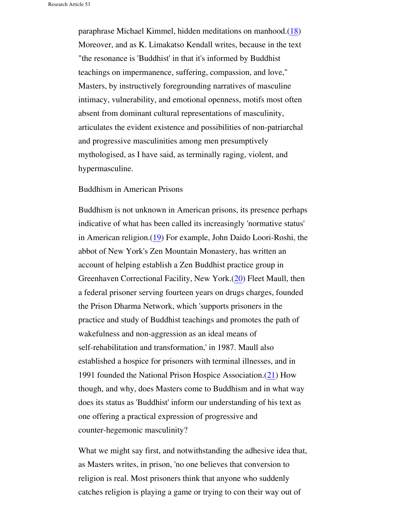paraphrase Michael Kimmel, hidden meditations on manhood.(18) Moreover, and as K. Limakatso Kendall writes, because in the text "the resonance is 'Buddhist' in that it's informed by Buddhist teachings on impermanence, suffering, compassion, and love," Masters, by instructively foregrounding narratives of masculine intimacy, vulnerability, and emotional openness, motifs most often absent from dominant cultural representations of masculinity, articulates the evident existence and possibilities of non-patriarchal and progressive masculinities among men presumptively mythologised, as I have said, as terminally raging, violent, and hypermasculine.

#### Buddhism in American Prisons

Buddhism is not unknown in American prisons, its presence perhaps indicative of what has been called its increasingly 'normative status' in American religion.(19) For example, John Daido Loori-Roshi, the abbot of New York's Zen Mountain Monastery, has written an account of helping establish a Zen Buddhist practice group in Greenhaven Correctional Facility, New York.(20) Fleet Maull, then a federal prisoner serving fourteen years on drugs charges, founded the Prison Dharma Network, which 'supports prisoners in the practice and study of Buddhist teachings and promotes the path of wakefulness and non-aggression as an ideal means of self-rehabilitation and transformation,' in 1987. Maull also established a hospice for prisoners with terminal illnesses, and in 1991 founded the National Prison Hospice Association.(21) How though, and why, does Masters come to Buddhism and in what way does its status as 'Buddhist' inform our understanding of his text as one offering a practical expression of progressive and counter-hegemonic masculinity?

What we might say first, and notwithstanding the adhesive idea that, as Masters writes, in prison, 'no one believes that conversion to religion is real. Most prisoners think that anyone who suddenly catches religion is playing a game or trying to con their way out of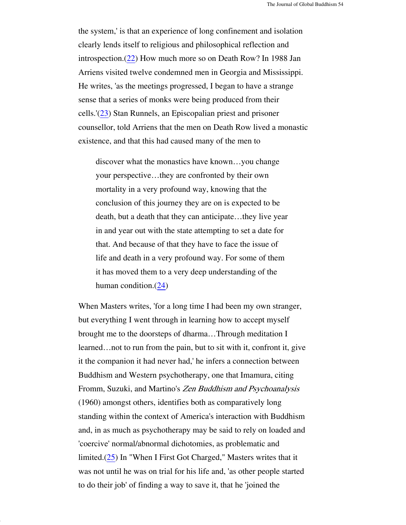the system,' is that an experience of long confinement and isolation clearly lends itself to religious and philosophical reflection and introspection.(22) How much more so on Death Row? In 1988 Jan Arriens visited twelve condemned men in Georgia and Mississippi. He writes, 'as the meetings progressed, I began to have a strange sense that a series of monks were being produced from their cells.'(23) Stan Runnels, an Episcopalian priest and prisoner counsellor, told Arriens that the men on Death Row lived a monastic existence, and that this had caused many of the men to

discover what the monastics have known…you change your perspective…they are confronted by their own mortality in a very profound way, knowing that the conclusion of this journey they are on is expected to be death, but a death that they can anticipate…they live year in and year out with the state attempting to set a date for that. And because of that they have to face the issue of life and death in a very profound way. For some of them it has moved them to a very deep understanding of the human condition.(24)

When Masters writes, 'for a long time I had been my own stranger, but everything I went through in learning how to accept myself brought me to the doorsteps of dharma…Through meditation I learned…not to run from the pain, but to sit with it, confront it, give it the companion it had never had,' he infers a connection between Buddhism and Western psychotherapy, one that Imamura, citing Fromm, Suzuki, and Martino's Zen Buddhism and Psychoanalysis (1960) amongst others, identifies both as comparatively long standing within the context of America's interaction with Buddhism and, in as much as psychotherapy may be said to rely on loaded and 'coercive' normal/abnormal dichotomies, as problematic and limited.(25) In "When I First Got Charged," Masters writes that it was not until he was on trial for his life and, 'as other people started to do their job' of finding a way to save it, that he 'joined the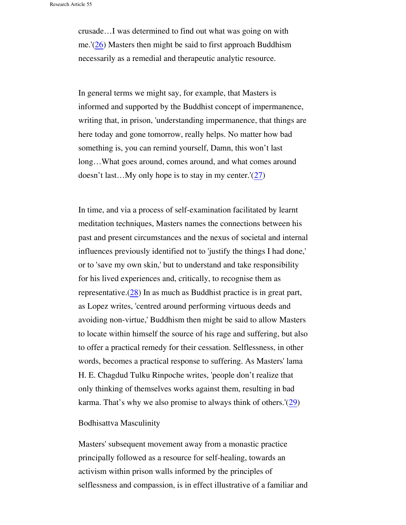crusade…I was determined to find out what was going on with me.'(26) Masters then might be said to first approach Buddhism necessarily as a remedial and therapeutic analytic resource.

In general terms we might say, for example, that Masters is informed and supported by the Buddhist concept of impermanence, writing that, in prison, 'understanding impermanence, that things are here today and gone tomorrow, really helps. No matter how bad something is, you can remind yourself, Damn, this won't last long…What goes around, comes around, and what comes around doesn't last...My only hope is to stay in my center.'(27)

In time, and via a process of self-examination facilitated by learnt meditation techniques, Masters names the connections between his past and present circumstances and the nexus of societal and internal influences previously identified not to 'justify the things I had done,' or to 'save my own skin,' but to understand and take responsibility for his lived experiences and, critically, to recognise them as representative.(28) In as much as Buddhist practice is in great part, as Lopez writes, 'centred around performing virtuous deeds and avoiding non-virtue,' Buddhism then might be said to allow Masters to locate within himself the source of his rage and suffering, but also to offer a practical remedy for their cessation. Selflessness, in other words, becomes a practical response to suffering. As Masters' lama H. E. Chagdud Tulku Rinpoche writes, 'people don't realize that only thinking of themselves works against them, resulting in bad karma. That's why we also promise to always think of others.'(29)

#### Bodhisattva Masculinity

Masters' subsequent movement away from a monastic practice principally followed as a resource for self-healing, towards an activism within prison walls informed by the principles of selflessness and compassion, is in effect illustrative of a familiar and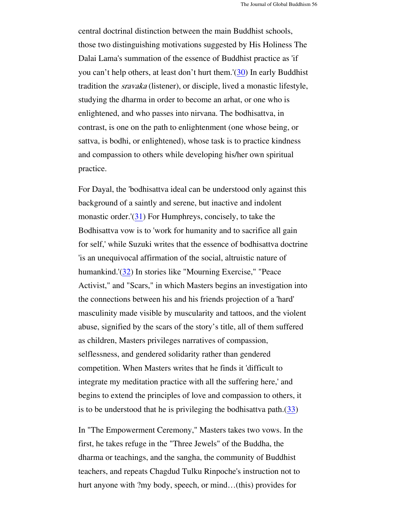central doctrinal distinction between the main Buddhist schools, those two distinguishing motivations suggested by His Holiness The Dalai Lama's summation of the essence of Buddhist practice as 'if you can't help others, at least don't hurt them.'(30) In early Buddhist tradition the sravaka (listener), or disciple, lived a monastic lifestyle, studying the dharma in order to become an arhat, or one who is enlightened, and who passes into nirvana. The bodhisattva, in contrast, is one on the path to enlightenment (one whose being, or sattva, is bodhi, or enlightened), whose task is to practice kindness and compassion to others while developing his/her own spiritual practice.

For Dayal, the 'bodhisattva ideal can be understood only against this background of a saintly and serene, but inactive and indolent monastic order.'(31) For Humphreys, concisely, to take the Bodhisattva vow is to 'work for humanity and to sacrifice all gain for self,' while Suzuki writes that the essence of bodhisattva doctrine 'is an unequivocal affirmation of the social, altruistic nature of humankind.'(32) In stories like "Mourning Exercise," "Peace Activist," and "Scars," in which Masters begins an investigation into the connections between his and his friends projection of a 'hard' masculinity made visible by muscularity and tattoos, and the violent abuse, signified by the scars of the story's title, all of them suffered as children, Masters privileges narratives of compassion, selflessness, and gendered solidarity rather than gendered competition. When Masters writes that he finds it 'difficult to integrate my meditation practice with all the suffering here,' and begins to extend the principles of love and compassion to others, it is to be understood that he is privileging the bodhisattva path. $(33)$ 

In "The Empowerment Ceremony," Masters takes two vows. In the first, he takes refuge in the "Three Jewels" of the Buddha, the dharma or teachings, and the sangha, the community of Buddhist teachers, and repeats Chagdud Tulku Rinpoche's instruction not to hurt anyone with ?my body, speech, or mind...(this) provides for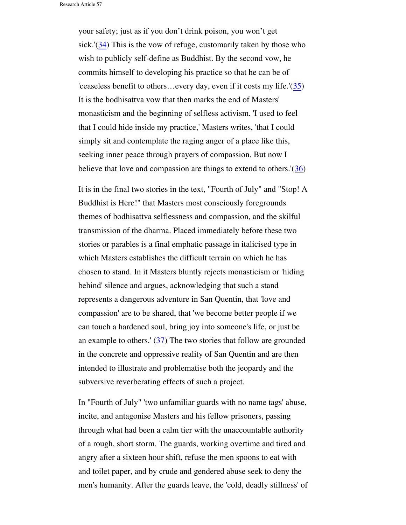Research Article 57

your safety; just as if you don't drink poison, you won't get sick.'(34) This is the vow of refuge, customarily taken by those who wish to publicly self-define as Buddhist. By the second vow, he commits himself to developing his practice so that he can be of 'ceaseless benefit to others…every day, even if it costs my life.'(35) It is the bodhisattva vow that then marks the end of Masters' monasticism and the beginning of selfless activism. 'I used to feel that I could hide inside my practice,' Masters writes, 'that I could simply sit and contemplate the raging anger of a place like this, seeking inner peace through prayers of compassion. But now I believe that love and compassion are things to extend to others.'(36)

It is in the final two stories in the text, "Fourth of July" and "Stop! A Buddhist is Here!" that Masters most consciously foregrounds themes of bodhisattva selflessness and compassion, and the skilful transmission of the dharma. Placed immediately before these two stories or parables is a final emphatic passage in italicised type in which Masters establishes the difficult terrain on which he has chosen to stand. In it Masters bluntly rejects monasticism or 'hiding behind' silence and argues, acknowledging that such a stand represents a dangerous adventure in San Quentin, that 'love and compassion' are to be shared, that 'we become better people if we can touch a hardened soul, bring joy into someone's life, or just be an example to others.' (37) The two stories that follow are grounded in the concrete and oppressive reality of San Quentin and are then intended to illustrate and problematise both the jeopardy and the subversive reverberating effects of such a project.

In "Fourth of July" 'two unfamiliar guards with no name tags' abuse, incite, and antagonise Masters and his fellow prisoners, passing through what had been a calm tier with the unaccountable authority of a rough, short storm. The guards, working overtime and tired and angry after a sixteen hour shift, refuse the men spoons to eat with and toilet paper, and by crude and gendered abuse seek to deny the men's humanity. After the guards leave, the 'cold, deadly stillness' of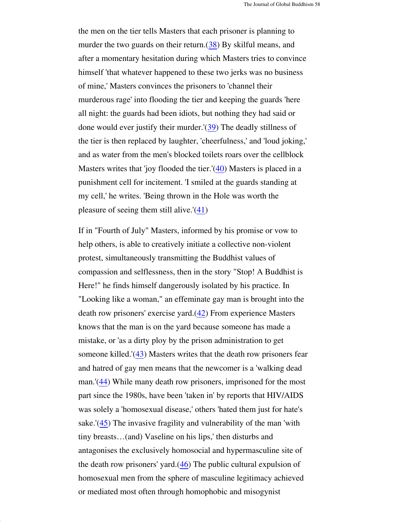the men on the tier tells Masters that each prisoner is planning to murder the two guards on their return. $(38)$  By skilful means, and after a momentary hesitation during which Masters tries to convince himself 'that whatever happened to these two jerks was no business of mine,' Masters convinces the prisoners to 'channel their murderous rage' into flooding the tier and keeping the guards 'here all night: the guards had been idiots, but nothing they had said or done would ever justify their murder.'(39) The deadly stillness of the tier is then replaced by laughter, 'cheerfulness,' and 'loud joking,' and as water from the men's blocked toilets roars over the cellblock Masters writes that 'joy flooded the tier.'(40) Masters is placed in a punishment cell for incitement. 'I smiled at the guards standing at my cell,' he writes. 'Being thrown in the Hole was worth the pleasure of seeing them still alive.'(41)

If in "Fourth of July" Masters, informed by his promise or vow to help others, is able to creatively initiate a collective non-violent protest, simultaneously transmitting the Buddhist values of compassion and selflessness, then in the story "Stop! A Buddhist is Here!" he finds himself dangerously isolated by his practice. In "Looking like a woman," an effeminate gay man is brought into the death row prisoners' exercise yard.(42) From experience Masters knows that the man is on the yard because someone has made a mistake, or 'as a dirty ploy by the prison administration to get someone killed.'(43) Masters writes that the death row prisoners fear and hatred of gay men means that the newcomer is a 'walking dead man.'(44) While many death row prisoners, imprisoned for the most part since the 1980s, have been 'taken in' by reports that HIV/AIDS was solely a 'homosexual disease,' others 'hated them just for hate's sake.'( $45$ ) The invasive fragility and vulnerability of the man 'with tiny breasts…(and) Vaseline on his lips,' then disturbs and antagonises the exclusively homosocial and hypermasculine site of the death row prisoners' yard.(46) The public cultural expulsion of homosexual men from the sphere of masculine legitimacy achieved or mediated most often through homophobic and misogynist

08/02/2006 10:06 PM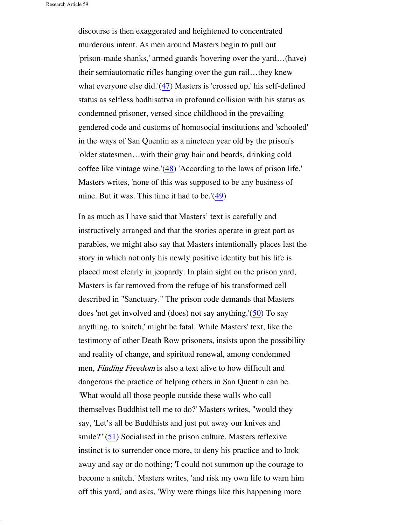08/02/2006 10:06 PM

discourse is then exaggerated and heightened to concentrated murderous intent. As men around Masters begin to pull out 'prison-made shanks,' armed guards 'hovering over the yard…(have) their semiautomatic rifles hanging over the gun rail…they knew what everyone else did.'(47) Masters is 'crossed up,' his self-defined status as selfless bodhisattva in profound collision with his status as condemned prisoner, versed since childhood in the prevailing gendered code and customs of homosocial institutions and 'schooled' in the ways of San Quentin as a nineteen year old by the prison's 'older statesmen…with their gray hair and beards, drinking cold coffee like vintage wine.'(48) 'According to the laws of prison life,' Masters writes, 'none of this was supposed to be any business of mine. But it was. This time it had to be.'(49)

In as much as I have said that Masters' text is carefully and instructively arranged and that the stories operate in great part as parables, we might also say that Masters intentionally places last the story in which not only his newly positive identity but his life is placed most clearly in jeopardy. In plain sight on the prison yard, Masters is far removed from the refuge of his transformed cell described in "Sanctuary." The prison code demands that Masters does 'not get involved and (does) not say anything.'(50) To say anything, to 'snitch,' might be fatal. While Masters' text, like the testimony of other Death Row prisoners, insists upon the possibility and reality of change, and spiritual renewal, among condemned men, Finding Freedom is also a text alive to how difficult and dangerous the practice of helping others in San Quentin can be. 'What would all those people outside these walls who call themselves Buddhist tell me to do?' Masters writes, "would they say, 'Let's all be Buddhists and just put away our knives and smile?'"(51) Socialised in the prison culture, Masters reflexive instinct is to surrender once more, to deny his practice and to look away and say or do nothing; 'I could not summon up the courage to become a snitch,' Masters writes, 'and risk my own life to warn him off this yard,' and asks, 'Why were things like this happening more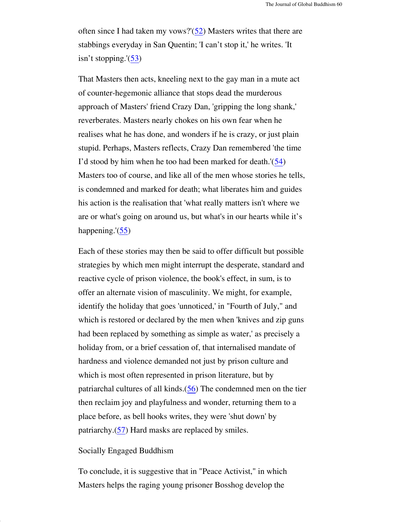often since I had taken my vows?'(52) Masters writes that there are stabbings everyday in San Quentin; 'I can't stop it,' he writes. 'It isn't stopping. $(53)$ 

That Masters then acts, kneeling next to the gay man in a mute act of counter-hegemonic alliance that stops dead the murderous approach of Masters' friend Crazy Dan, 'gripping the long shank,' reverberates. Masters nearly chokes on his own fear when he realises what he has done, and wonders if he is crazy, or just plain stupid. Perhaps, Masters reflects, Crazy Dan remembered 'the time I'd stood by him when he too had been marked for death.'(54) Masters too of course, and like all of the men whose stories he tells, is condemned and marked for death; what liberates him and guides his action is the realisation that 'what really matters isn't where we are or what's going on around us, but what's in our hearts while it's happening.'(55)

Each of these stories may then be said to offer difficult but possible strategies by which men might interrupt the desperate, standard and reactive cycle of prison violence, the book's effect, in sum, is to offer an alternate vision of masculinity. We might, for example, identify the holiday that goes 'unnoticed,' in "Fourth of July," and which is restored or declared by the men when 'knives and zip guns had been replaced by something as simple as water,' as precisely a holiday from, or a brief cessation of, that internalised mandate of hardness and violence demanded not just by prison culture and which is most often represented in prison literature, but by patriarchal cultures of all kinds.(56) The condemned men on the tier then reclaim joy and playfulness and wonder, returning them to a place before, as bell hooks writes, they were 'shut down' by patriarchy.(57) Hard masks are replaced by smiles.

#### Socially Engaged Buddhism

To conclude, it is suggestive that in "Peace Activist," in which Masters helps the raging young prisoner Bosshog develop the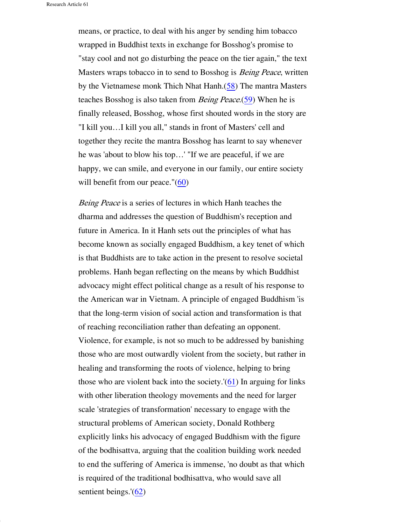08/02/2006 10:06 PM

means, or practice, to deal with his anger by sending him tobacco wrapped in Buddhist texts in exchange for Bosshog's promise to "stay cool and not go disturbing the peace on the tier again," the text Masters wraps tobacco in to send to Bosshog is *Being Peace*, written by the Vietnamese monk Thich Nhat Hanh.(58) The mantra Masters teaches Bosshog is also taken from Being Peace.(59) When he is finally released, Bosshog, whose first shouted words in the story are "I kill you…I kill you all," stands in front of Masters' cell and together they recite the mantra Bosshog has learnt to say whenever he was 'about to blow his top…' "If we are peaceful, if we are happy, we can smile, and everyone in our family, our entire society will benefit from our peace."(60)

Being Peace is a series of lectures in which Hanh teaches the dharma and addresses the question of Buddhism's reception and future in America. In it Hanh sets out the principles of what has become known as socially engaged Buddhism, a key tenet of which is that Buddhists are to take action in the present to resolve societal problems. Hanh began reflecting on the means by which Buddhist advocacy might effect political change as a result of his response to the American war in Vietnam. A principle of engaged Buddhism 'is that the long-term vision of social action and transformation is that of reaching reconciliation rather than defeating an opponent. Violence, for example, is not so much to be addressed by banishing those who are most outwardly violent from the society, but rather in healing and transforming the roots of violence, helping to bring those who are violent back into the society.'( $61$ ) In arguing for links with other liberation theology movements and the need for larger scale 'strategies of transformation' necessary to engage with the structural problems of American society, Donald Rothberg explicitly links his advocacy of engaged Buddhism with the figure of the bodhisattva, arguing that the coalition building work needed to end the suffering of America is immense, 'no doubt as that which is required of the traditional bodhisattva, who would save all sentient beings.'(62)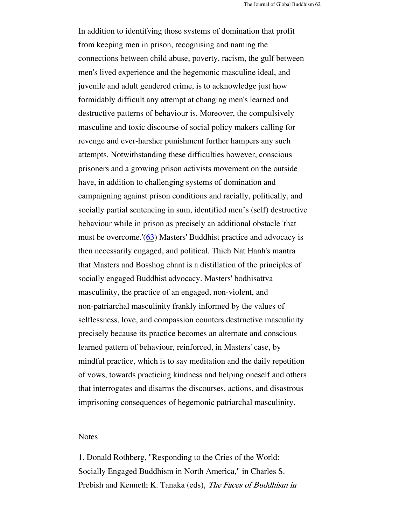In addition to identifying those systems of domination that profit from keeping men in prison, recognising and naming the connections between child abuse, poverty, racism, the gulf between men's lived experience and the hegemonic masculine ideal, and juvenile and adult gendered crime, is to acknowledge just how formidably difficult any attempt at changing men's learned and destructive patterns of behaviour is. Moreover, the compulsively masculine and toxic discourse of social policy makers calling for revenge and ever-harsher punishment further hampers any such attempts. Notwithstanding these difficulties however, conscious prisoners and a growing prison activists movement on the outside have, in addition to challenging systems of domination and campaigning against prison conditions and racially, politically, and socially partial sentencing in sum, identified men's (self) destructive behaviour while in prison as precisely an additional obstacle 'that must be overcome.'(63) Masters' Buddhist practice and advocacy is then necessarily engaged, and political. Thich Nat Hanh's mantra that Masters and Bosshog chant is a distillation of the principles of socially engaged Buddhist advocacy. Masters' bodhisattva masculinity, the practice of an engaged, non-violent, and non-patriarchal masculinity frankly informed by the values of selflessness, love, and compassion counters destructive masculinity precisely because its practice becomes an alternate and conscious learned pattern of behaviour, reinforced, in Masters' case, by mindful practice, which is to say meditation and the daily repetition of vows, towards practicing kindness and helping oneself and others that interrogates and disarms the discourses, actions, and disastrous imprisoning consequences of hegemonic patriarchal masculinity.

#### Notes

1. Donald Rothberg, "Responding to the Cries of the World: Socially Engaged Buddhism in North America," in Charles S. Prebish and Kenneth K. Tanaka (eds), The Faces of Buddhism in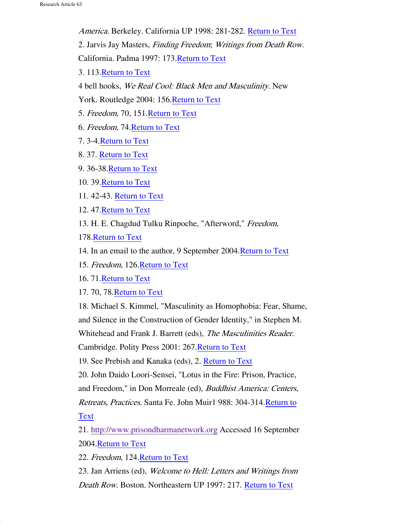- America. Berkeley. California UP 1998: 281-282. Return to Text
- 2. Jarvis Jay Masters, Finding Freedom; Writings from Death Row.
- California. Padma 1997: 173.Return to Text
- 3. 113.Return to Text
- 4 bell hooks, We Real Cool: Black Men and Masculinity. New
- York. Routledge 2004: 156. Return to Text
- 5. Freedom, 70, 151.Return to Text
- 6. Freedom, 74.Return to Text
- 7. 3-4.Return to Text
- 8. 37. Return to Text
- 9. 36-38.Return to Text
- 10. 39.Return to Text
- 11. 42-43. Return to Text
- 12. 47.Return to Text
- 13. H. E. Chagdud Tulku Rinpoche, "Afterword," Freedom,
- 178.Return to Text
- 14. In an email to the author, 9 September 2004.Return to Text
- 15. Freedom, 126.Return to Text
- 16. 71.Return to Text
- 17. 70, 78.Return to Text

18. Michael S. Kimmel, "Masculinity as Homophobia: Fear, Shame,

and Silence in the Construction of Gender Identity," in Stephen M.

Whitehead and Frank J. Barrett (eds), The Masculinities Reader.

Cambridge. Polity Press 2001: 267.Return to Text

19. See Prebish and Kanaka (eds), 2. Return to Text

20. John Daido Loori-Sensei, "Lotus in the Fire: Prison, Practice,

and Freedom," in Don Morreale (ed), Buddhist America: Centers,

Retreats, Practices. Santa Fe. John Muir1 988: 304-314. Return to **Text** 

21. http://www.prisondharmanetwork.org Accessed 16 September 2004.Return to Text

22. Freedom, 124.Return to Text

23. Jan Arriens (ed), Welcome to Hell: Letters and Writings from Death Row. Boston. Northeastern UP 1997: 217. Return to Text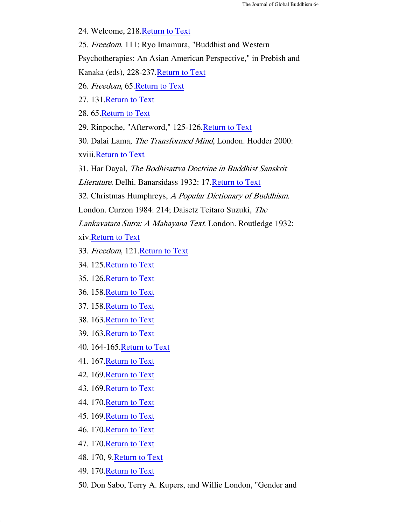24. Welcome, 218.Return to Text

25. Freedom, 111; Ryo Imamura, "Buddhist and Western

Psychotherapies: An Asian American Perspective," in Prebish and

Kanaka (eds), 228-237.Return to Text

26. Freedom, 65.Return to Text

27. 131.Return to Text

28. 65.Return to Text

29. Rinpoche, "Afterword," 125-126.Return to Text

30. Dalai Lama, The Transformed Mind, London. Hodder 2000:

xviii.Return to Text

31. Har Dayal, The Bodhisattva Doctrine in Buddhist Sanskrit

Literature. Delhi. Banarsidass 1932: 17.Return to Text

32. Christmas Humphreys, A Popular Dictionary of Buddhism.

London. Curzon 1984: 214; Daisetz Teitaro Suzuki, The

Lankavatara Sutra: A Mahayana Text. London. Routledge 1932:

xiv.Return to Text

33. Freedom, 121.Return to Text

34. 125.Return to Text

35. 126.Return to Text

36. 158.Return to Text

- 37. 158.Return to Text
- 38. 163.Return to Text
- 39. 163.Return to Text

40. 164-165.Return to Text

- 41. 167.Return to Text
- 42. 169.Return to Text
- 43. 169.Return to Text
- 44. 170.Return to Text
- 45. 169.Return to Text
- 46. 170.Return to Text

47. 170.Return to Text

48. 170, 9.Return to Text

49. 170.Return to Text

08/02/2006 10:06 PM

50. Don Sabo, Terry A. Kupers, and Willie London, "Gender and